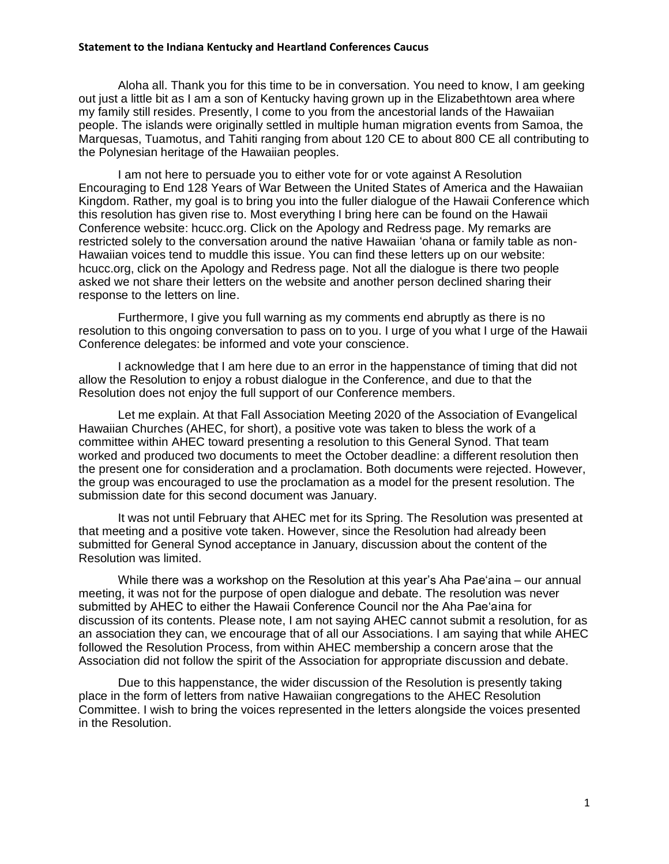## **Statement to the Indiana Kentucky and Heartland Conferences Caucus**

Aloha all. Thank you for this time to be in conversation. You need to know, I am geeking out just a little bit as I am a son of Kentucky having grown up in the Elizabethtown area where my family still resides. Presently, I come to you from the ancestorial lands of the Hawaiian people. The islands were originally settled in multiple human migration events from Samoa, the Marquesas, Tuamotus, and Tahiti ranging from about 120 CE to about 800 CE all contributing to the Polynesian heritage of the Hawaiian peoples.

I am not here to persuade you to either vote for or vote against A Resolution Encouraging to End 128 Years of War Between the United States of America and the Hawaiian Kingdom. Rather, my goal is to bring you into the fuller dialogue of the Hawaii Conference which this resolution has given rise to. Most everything I bring here can be found on the Hawaii Conference website: hcucc.org. Click on the Apology and Redress page. My remarks are restricted solely to the conversation around the native Hawaiian 'ohana or family table as non-Hawaiian voices tend to muddle this issue. You can find these letters up on our website: hcucc.org, click on the Apology and Redress page. Not all the dialogue is there two people asked we not share their letters on the website and another person declined sharing their response to the letters on line.

Furthermore, I give you full warning as my comments end abruptly as there is no resolution to this ongoing conversation to pass on to you. I urge of you what I urge of the Hawaii Conference delegates: be informed and vote your conscience.

I acknowledge that I am here due to an error in the happenstance of timing that did not allow the Resolution to enjoy a robust dialogue in the Conference, and due to that the Resolution does not enjoy the full support of our Conference members.

Let me explain. At that Fall Association Meeting 2020 of the Association of Evangelical Hawaiian Churches (AHEC, for short), a positive vote was taken to bless the work of a committee within AHEC toward presenting a resolution to this General Synod. That team worked and produced two documents to meet the October deadline: a different resolution then the present one for consideration and a proclamation. Both documents were rejected. However, the group was encouraged to use the proclamation as a model for the present resolution. The submission date for this second document was January.

It was not until February that AHEC met for its Spring. The Resolution was presented at that meeting and a positive vote taken. However, since the Resolution had already been submitted for General Synod acceptance in January, discussion about the content of the Resolution was limited.

While there was a workshop on the Resolution at this year's Aha Pae'aina – our annual meeting, it was not for the purpose of open dialogue and debate. The resolution was never submitted by AHEC to either the Hawaii Conference Council nor the Aha Pae'aina for discussion of its contents. Please note, I am not saying AHEC cannot submit a resolution, for as an association they can, we encourage that of all our Associations. I am saying that while AHEC followed the Resolution Process, from within AHEC membership a concern arose that the Association did not follow the spirit of the Association for appropriate discussion and debate.

Due to this happenstance, the wider discussion of the Resolution is presently taking place in the form of letters from native Hawaiian congregations to the AHEC Resolution Committee. I wish to bring the voices represented in the letters alongside the voices presented in the Resolution.